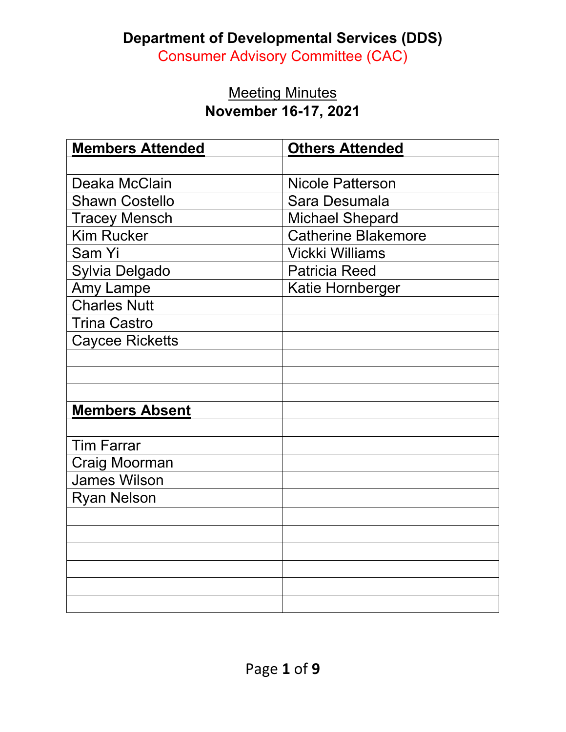### **Department of Developmental Services (DDS)**

Consumer Advisory Committee (CAC)

### **Meeting Minutes November 16-17, 2021**

| <b>Members Attended</b> | <b>Others Attended</b>     |
|-------------------------|----------------------------|
|                         |                            |
| Deaka McClain           | <b>Nicole Patterson</b>    |
| <b>Shawn Costello</b>   | Sara Desumala              |
| <b>Tracey Mensch</b>    | <b>Michael Shepard</b>     |
| <b>Kim Rucker</b>       | <b>Catherine Blakemore</b> |
| Sam Yi                  | <b>Vickki Williams</b>     |
| Sylvia Delgado          | <b>Patricia Reed</b>       |
| Amy Lampe               | Katie Hornberger           |
| <b>Charles Nutt</b>     |                            |
| <b>Trina Castro</b>     |                            |
| <b>Caycee Ricketts</b>  |                            |
|                         |                            |
|                         |                            |
|                         |                            |
| <b>Members Absent</b>   |                            |
|                         |                            |
| <b>Tim Farrar</b>       |                            |
| Craig Moorman           |                            |
| <b>James Wilson</b>     |                            |
| <b>Ryan Nelson</b>      |                            |
|                         |                            |
|                         |                            |
|                         |                            |
|                         |                            |
|                         |                            |
|                         |                            |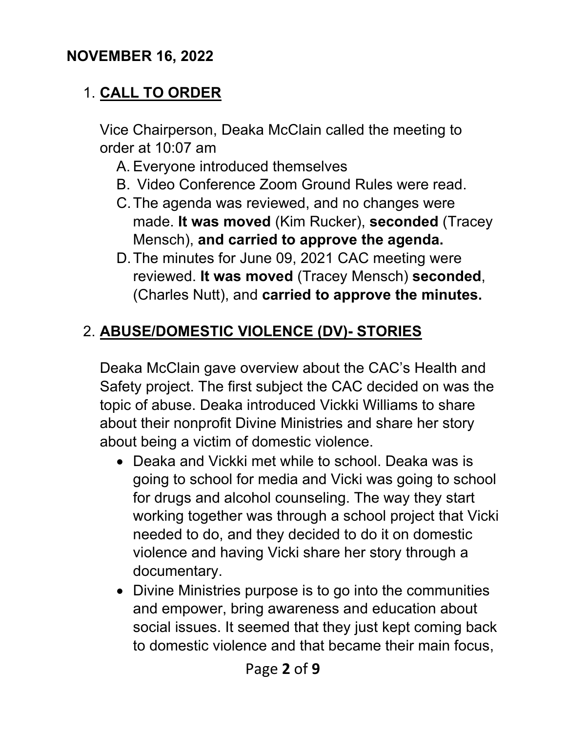### **NOVEMBER 16, 2022**

## 1. **CALL TO ORDER**

Vice Chairperson, Deaka McClain called the meeting to order at 10:07 am

- A. Everyone introduced themselves
- B. Video Conference Zoom Ground Rules were read.
- C.The agenda was reviewed, and no changes were made. **It was moved** (Kim Rucker), **seconded** (Tracey Mensch), **and carried to approve the agenda.**
- D.The minutes for June 09, 2021 CAC meeting were reviewed. **It was moved** (Tracey Mensch) **seconded**, (Charles Nutt), and **carried to approve the minutes.**

## 2. **ABUSE/DOMESTIC VIOLENCE (DV)- STORIES**

Deaka McClain gave overview about the CAC's Health and Safety project. The first subject the CAC decided on was the topic of abuse. Deaka introduced Vickki Williams to share about their nonprofit Divine Ministries and share her story about being a victim of domestic violence.

- Deaka and Vickki met while to school. Deaka was is going to school for media and Vicki was going to school for drugs and alcohol counseling. The way they start working together was through a school project that Vicki needed to do, and they decided to do it on domestic violence and having Vicki share her story through a documentary.
- Divine Ministries purpose is to go into the communities and empower, bring awareness and education about social issues. It seemed that they just kept coming back to domestic violence and that became their main focus,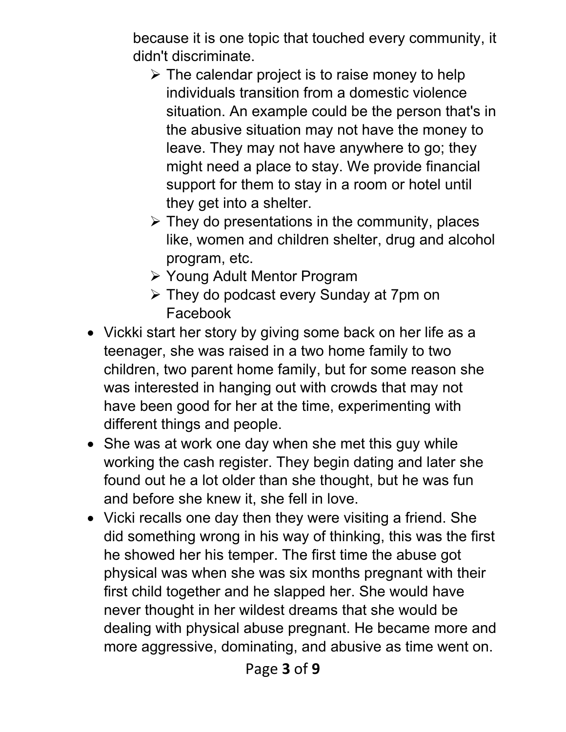because it is one topic that touched every community, it didn't discriminate.

- $\triangleright$  The calendar project is to raise money to help individuals transition from a domestic violence situation. An example could be the person that's in the abusive situation may not have the money to leave. They may not have anywhere to go; they might need a place to stay. We provide financial support for them to stay in a room or hotel until they get into a shelter.
- $\triangleright$  They do presentations in the community, places like, women and children shelter, drug and alcohol program, etc.
- Young Adult Mentor Program
- They do podcast every Sunday at 7pm on Facebook
- Vickki start her story by giving some back on her life as a teenager, she was raised in a two home family to two children, two parent home family, but for some reason she was interested in hanging out with crowds that may not have been good for her at the time, experimenting with different things and people.
- She was at work one day when she met this guy while working the cash register. They begin dating and later she found out he a lot older than she thought, but he was fun and before she knew it, she fell in love.
- Vicki recalls one day then they were visiting a friend. She did something wrong in his way of thinking, this was the first he showed her his temper. The first time the abuse got physical was when she was six months pregnant with their first child together and he slapped her. She would have never thought in her wildest dreams that she would be dealing with physical abuse pregnant. He became more and more aggressive, dominating, and abusive as time went on.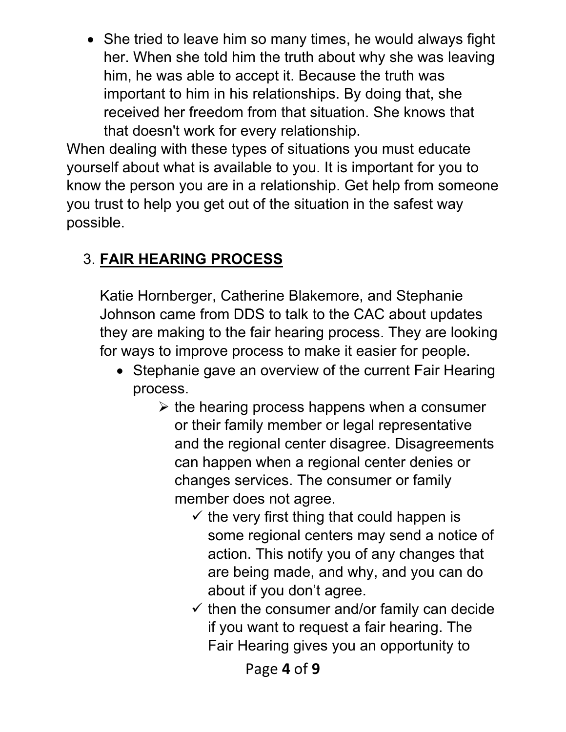• She tried to leave him so many times, he would always fight her. When she told him the truth about why she was leaving him, he was able to accept it. Because the truth was important to him in his relationships. By doing that, she received her freedom from that situation. She knows that that doesn't work for every relationship.

When dealing with these types of situations you must educate yourself about what is available to you. It is important for you to know the person you are in a relationship. Get help from someone you trust to help you get out of the situation in the safest way possible.

## 3. **FAIR HEARING PROCESS**

Katie Hornberger, Catherine Blakemore, and Stephanie Johnson came from DDS to talk to the CAC about updates they are making to the fair hearing process. They are looking for ways to improve process to make it easier for people.

- Stephanie gave an overview of the current Fair Hearing process.
	- $\triangleright$  the hearing process happens when a consumer or their family member or legal representative and the regional center disagree. Disagreements can happen when a regional center denies or changes services. The consumer or family member does not agree.
		- $\checkmark$  the very first thing that could happen is some regional centers may send a notice of action. This notify you of any changes that are being made, and why, and you can do about if you don't agree.
		- $\checkmark$  then the consumer and/or family can decide if you want to request a fair hearing. The Fair Hearing gives you an opportunity to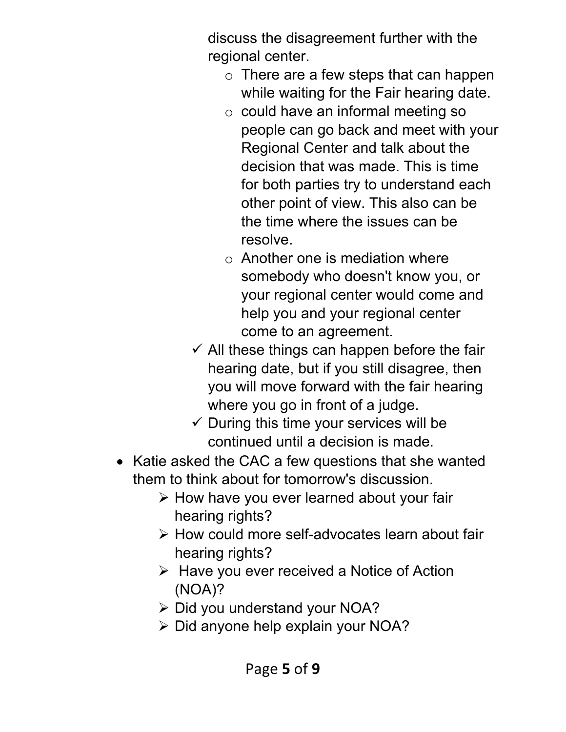discuss the disagreement further with the regional center.

- $\circ$  There are a few steps that can happen while waiting for the Fair hearing date.
- o could have an informal meeting so people can go back and meet with your Regional Center and talk about the decision that was made. This is time for both parties try to understand each other point of view. This also can be the time where the issues can be resolve.
- $\circ$  Another one is mediation where somebody who doesn't know you, or your regional center would come and help you and your regional center come to an agreement.
- $\checkmark$  All these things can happen before the fair hearing date, but if you still disagree, then you will move forward with the fair hearing where you go in front of a judge.
- $\checkmark$  During this time your services will be continued until a decision is made.
- Katie asked the CAC a few questions that she wanted them to think about for tomorrow's discussion.
	- $\triangleright$  How have you ever learned about your fair hearing rights?
	- How could more self-advocates learn about fair hearing rights?
	- $\triangleright$  Have you ever received a Notice of Action (NOA)?
	- **≻** Did you understand your NOA?
	- $\triangleright$  Did anyone help explain your NOA?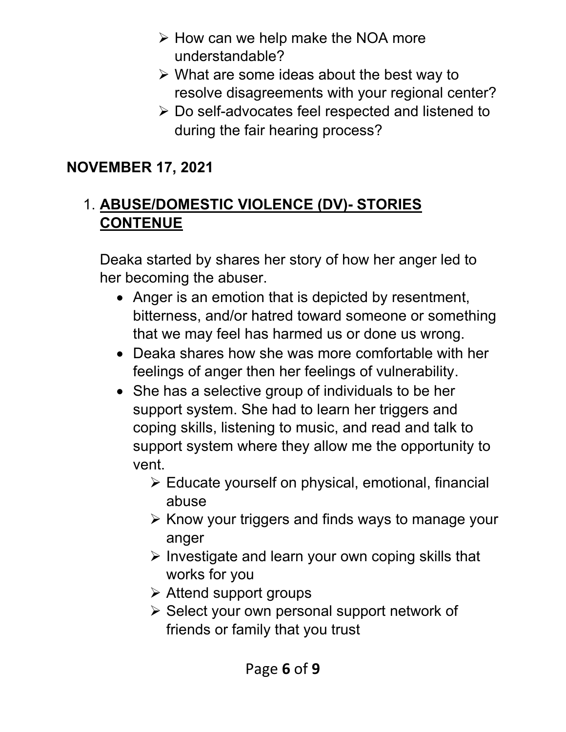- $\triangleright$  How can we help make the NOA more understandable?
- $\triangleright$  What are some ideas about the best way to resolve disagreements with your regional center?
- Do self-advocates feel respected and listened to during the fair hearing process?

## **NOVEMBER 17, 2021**

## 1. **ABUSE/DOMESTIC VIOLENCE (DV)- STORIES CONTENUE**

Deaka started by shares her story of how her anger led to her becoming the abuser.

- Anger is an emotion that is depicted by resentment, bitterness, and/or hatred toward someone or something that we may feel has harmed us or done us wrong.
- Deaka shares how she was more comfortable with her feelings of anger then her feelings of vulnerability.
- She has a selective group of individuals to be her support system. She had to learn her triggers and coping skills, listening to music, and read and talk to support system where they allow me the opportunity to vent.
	- $\triangleright$  Educate yourself on physical, emotional, financial abuse
	- $\triangleright$  Know your triggers and finds ways to manage your anger
	- $\triangleright$  Investigate and learn your own coping skills that works for you
	- $\triangleright$  Attend support groups
	- $\triangleright$  Select your own personal support network of friends or family that you trust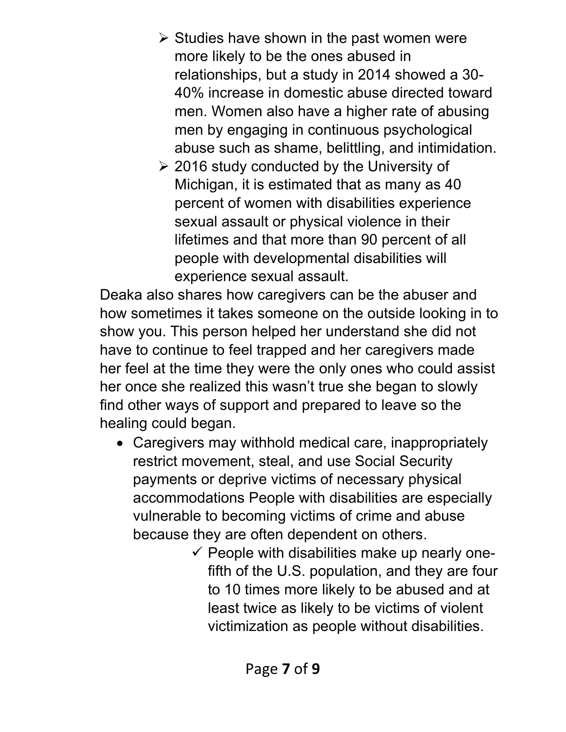- $\triangleright$  Studies have shown in the past women were more likely to be the ones abused in relationships, but a study in 2014 showed a 30- 40% increase in domestic abuse directed toward men. Women also have a higher rate of abusing men by engaging in continuous psychological abuse such as shame, belittling, and intimidation.
- [2016 study](https://www.ncbi.nlm.nih.gov/pmc/articles/PMC4985079/) conducted by the University of Michigan, it is estimated that as many as 40 percent of women with disabilities experience sexual assault or physical violence in their lifetimes and that more than 90 percent of all people with developmental disabilities will experience sexual assault.

Deaka also shares how caregivers can be the abuser and how sometimes it takes someone on the outside looking in to show you. This person helped her understand she did not have to continue to feel trapped and her caregivers made her feel at the time they were the only ones who could assist her once she realized this wasn't true she began to slowly find other ways of support and prepared to leave so the healing could began.

- Caregivers may withhold medical care, inappropriately restrict movement, steal, and use Social Security payments or deprive victims of necessary physical accommodations People with disabilities are especially vulnerable to becoming victims of crime and abuse because they are often dependent on others.
	- $\checkmark$  People with disabilities make up [nearly one](https://www.vera.org/publications/how-safe-are-americans-with-disabilities)[fifth of the U.S. population,](https://www.vera.org/publications/how-safe-are-americans-with-disabilities) and they are [four](https://disabilityjustice.org/justice-denied/abuse-and-exploitation/)  [to 10 times more likely to be abused](https://disabilityjustice.org/justice-denied/abuse-and-exploitation/) and at least [twice as likely to be victims of violent](https://ovc.ojp.gov/sites/g/files/xyckuh226/files/ncvrw2018/info_flyers/fact_sheets/2018NCVRW_VictimsWithDisabilities_508_QC.pdf)  [victimization](https://ovc.ojp.gov/sites/g/files/xyckuh226/files/ncvrw2018/info_flyers/fact_sheets/2018NCVRW_VictimsWithDisabilities_508_QC.pdf) as people without disabilities.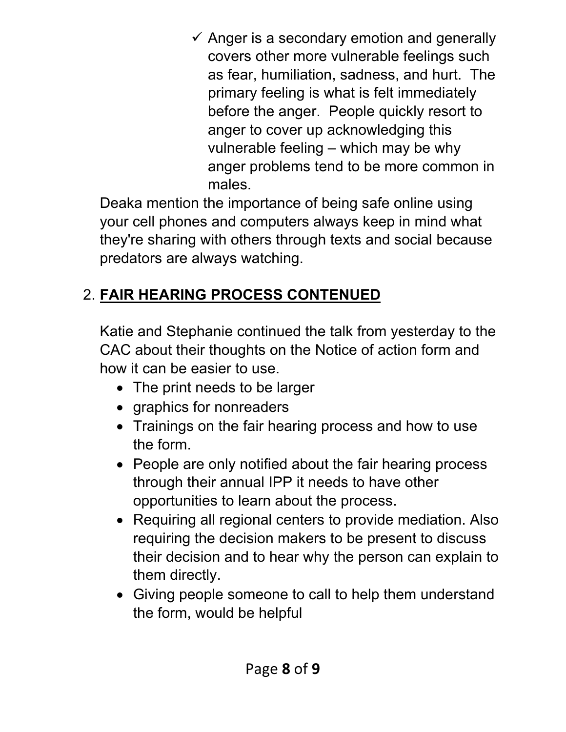$\checkmark$  Anger is a secondary emotion and generally covers other more vulnerable feelings such as fear, humiliation, sadness, and hurt. The primary feeling is what is felt immediately before the anger. People quickly resort to anger to cover up acknowledging this vulnerable feeling – which may be why anger problems tend to be more common in males.

Deaka mention the importance of being safe online using your cell phones and computers always keep in mind what they're sharing with others through texts and social because predators are always watching.

# 2. **FAIR HEARING PROCESS CONTENUED**

Katie and Stephanie continued the talk from yesterday to the CAC about their thoughts on the Notice of action form and how it can be easier to use.

- The print needs to be larger
- graphics for nonreaders
- Trainings on the fair hearing process and how to use the form.
- People are only notified about the fair hearing process through their annual IPP it needs to have other opportunities to learn about the process.
- Requiring all regional centers to provide mediation. Also requiring the decision makers to be present to discuss their decision and to hear why the person can explain to them directly.
- Giving people someone to call to help them understand the form, would be helpful